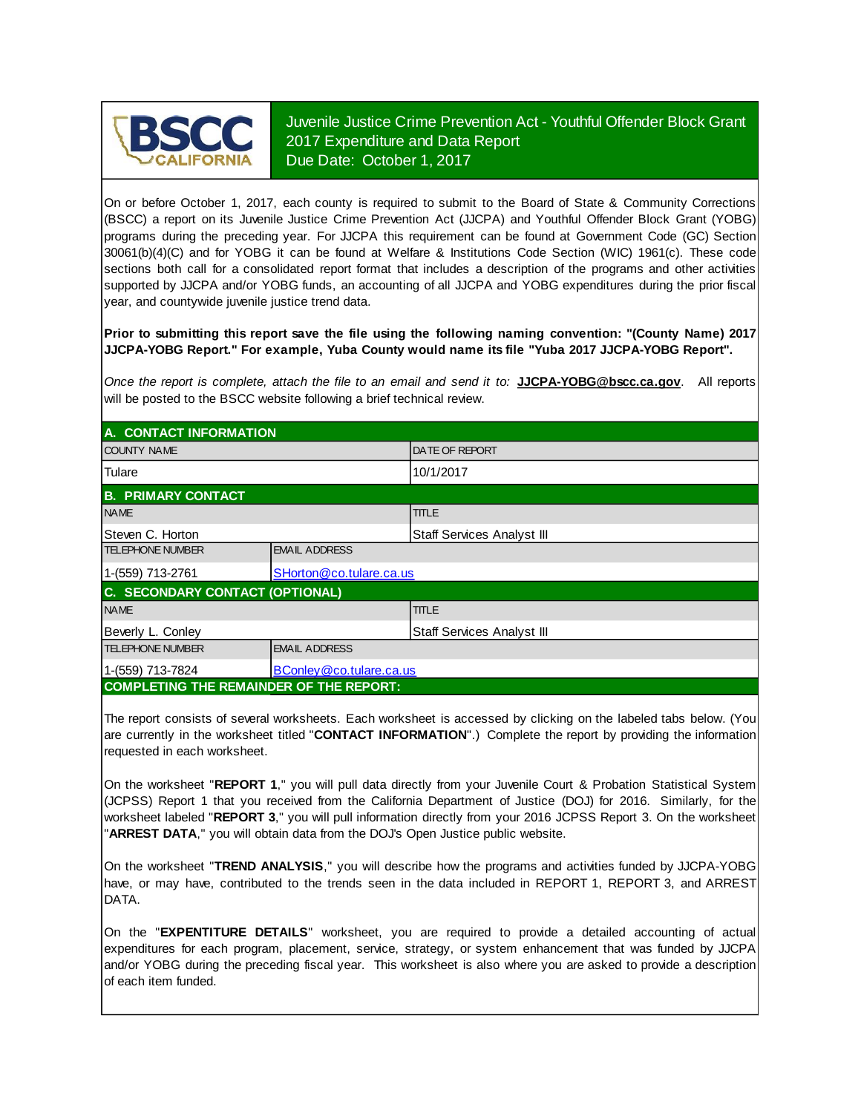

Juvenile Justice Crime Prevention Act - Youthful Offender Block Grant 2017 Expenditure and Data Report Due Date: October 1, 2017

On or before October 1, 2017, each county is required to submit to the Board of State & Community Corrections (BSCC) <sup>a</sup> report on its Juvenile Justice Crime Prevention Act (JJCPA) and Youthful Offender Block Grant (YOBG) programs during the preceding year. For JJCPA this requirement can be found at Government Code (GC) Section 30061(b)(4)(C) and for YOBG it can be found at Welfare & Institutions Code Section (WIC) 1961(c). These code sections both call for <sup>a</sup> consolidated report format that includes <sup>a</sup> description of the programs and other activities supported by JJCPA and/or YOBG funds, an accounting of all JJCPA and YOBG expenditures during the prior fiscal year, and countywide juvenile justice trend data.

**Prior to submitting this report save the file using the following naming convention: "(County Name) 2017 JJCPA-YOBG Report." For example, Yuba County would name its file "Yuba 2017 JJCPA-YOBG Report".**

*Once the report is complete, attach the file t o an email and send it to:* **JJCPA-YOBG@bscc.ca.gov**. All reports will be posted to the BSCC website following a brief technical review.

| A. CONTACT INFORMATION                         |                            |                            |  |
|------------------------------------------------|----------------------------|----------------------------|--|
| <b>COUNTY NAME</b>                             | <b>DATE OF REPORT</b>      |                            |  |
| <b>Tulare</b>                                  |                            | 10/1/2017                  |  |
| <b>B. PRIMARY CONTACT</b>                      |                            |                            |  |
| <b>NAME</b>                                    |                            | <b>TITLE</b>               |  |
| Steven C. Horton                               |                            | Staff Services Analyst III |  |
| <b>TELEPHONE NUMBER</b>                        | <b>EMAIL ADDRESS</b>       |                            |  |
| 1-(559) 713-2761                               | SHorton@co.tulare.ca.us    |                            |  |
| C. SECONDARY CONTACT (OPTIONAL)                |                            |                            |  |
| <b>NAME</b>                                    |                            | <b>TITLE</b>               |  |
| Beverly L. Conley                              | Staff Services Analyst III |                            |  |
| <b>TELEPHONE NUMBER</b>                        | <b>EMAIL ADDRESS</b>       |                            |  |
| 1-(559) 713-7824<br>BConley @co.tulare.ca.us   |                            |                            |  |
| <b>COMPLETING THE REMAINDER OF THE REPORT:</b> |                            |                            |  |

The report consists of several worksheets. Each worksheet is accessed by clicking on the labeled tabs below. (You are currently in the worksheet titled "**CONTACT INFORMATION**".) Complete the report by providing the information requested in each worksheet.

On the worksheet "REPORT 1," you will pull data directly from your Juvenile Court & Probation Statistical System (JCPSS) Report 1 that you received from the California Department of Justice (DOJ) for 2016. Similarly, for the worksheet labeled "REPORT 3," you will pull information directly from your 2016 JCPSS Report 3. On the worksheet "**ARREST DATA**," you will obtain data from the DOJ's Open Justice public website.

On the worksheet "**TREND ANALYSIS**, " you will describe how the programs and activities funded by JJCPA-YOBG have, or may have, contributed to the trends seen in the data included in REPORT 1, REPORT 3, and ARREST DATA.

On the "EXPENTITURE DETAILS" worksheet, you are required to provide a detailed accounting of actual expenditures for each program, placement, service, strategy, or system enhancement that was funded by JJCPA and/or YOBG during the preceding fiscal year. This worksheet is also where you are asked to provide a description of each item funded.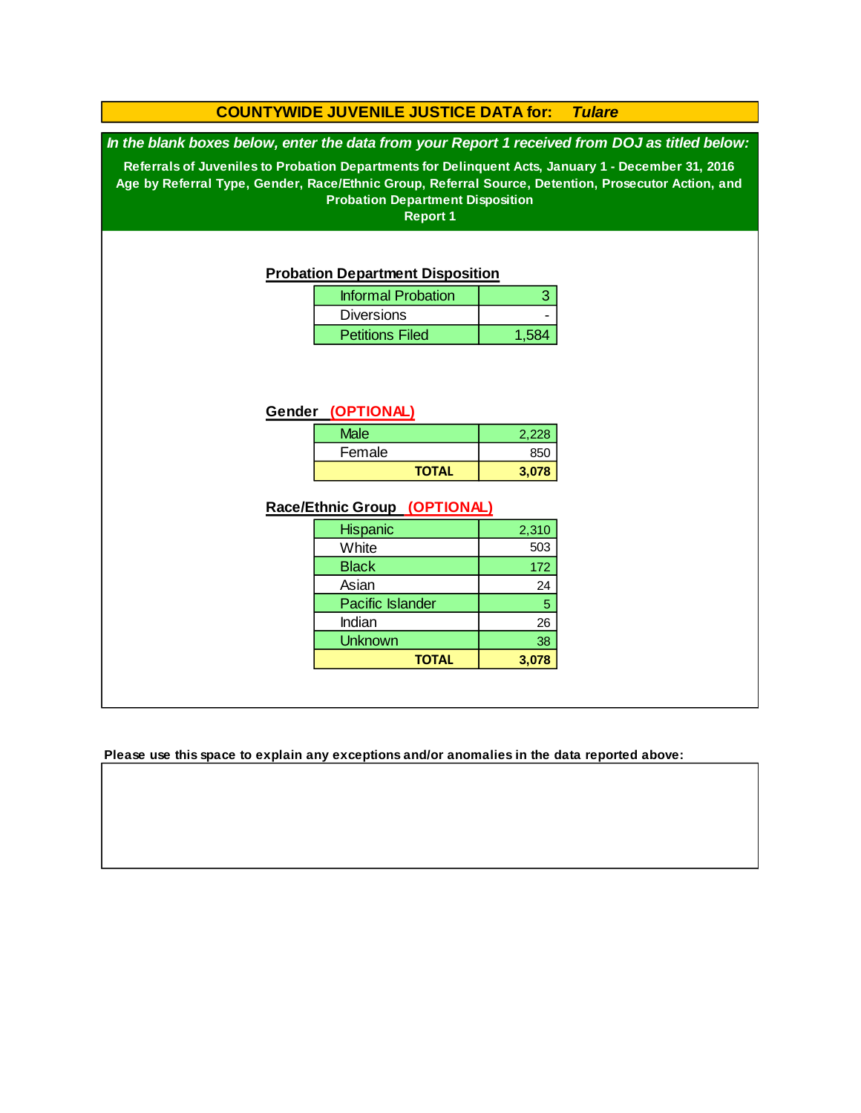## **COUNTYWIDE JUVENILE JUSTICE DATA for:** *Tulare*

*In the blank boxes below, enter the data from your Report 1 received from DOJ as titled below:*

**Referrals of Juveniles to Probation Departments for Delinquent Acts, January 1 - December 31, 2016 Age by Referral Type, Gender, Race/Ethnic Group, Referral Source, Detention, Prosecutor Action, and Probation Department Disposition**

**Report 1**

#### **Probation Department Disposition**

| <b>Informal Probation</b> |       |
|---------------------------|-------|
| <b>Diversions</b>         |       |
| <b>Petitions Filed</b>    | 1.584 |

## **Gender (OPTIONAL)**

| Male         | 2.228 |
|--------------|-------|
| Female       | 850   |
| <b>TOTAL</b> | 3.078 |

## **Race/Ethnic Group (OPTIONAL)**

| <b>Hispanic</b>         | 2,310 |
|-------------------------|-------|
| White                   | 503   |
| <b>Black</b>            | 172   |
| Asian                   | 24    |
| <b>Pacific Islander</b> | 5     |
| Indian                  | 26    |
| <b>Unknown</b>          | 38    |
| <b>TOTAL</b>            |       |

**Please use this space to explain any exceptions and/or anomalies in the data reported above:**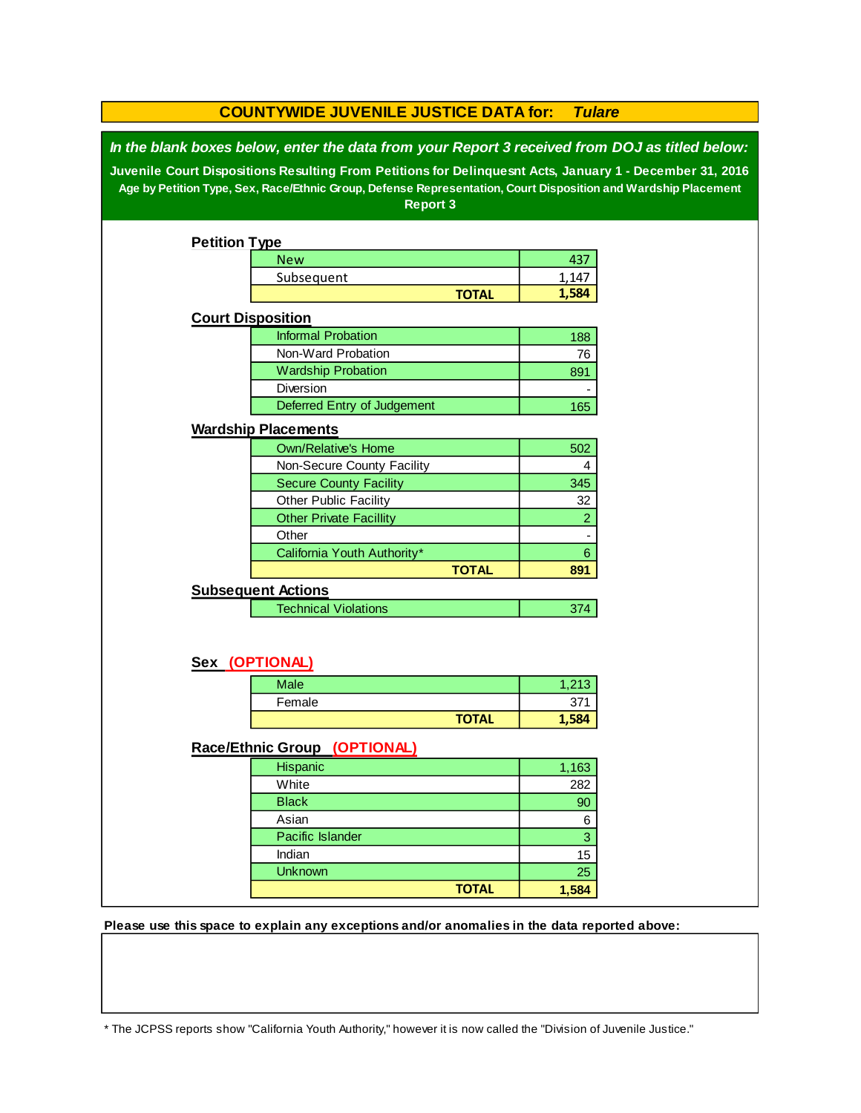| <b>COUNTYWIDE JUVENILE JUSTICE DATA for:</b><br><b>Tulare</b>                                                                                                                                                                                                                                                                                   |                                |              |                |  |  |  |
|-------------------------------------------------------------------------------------------------------------------------------------------------------------------------------------------------------------------------------------------------------------------------------------------------------------------------------------------------|--------------------------------|--------------|----------------|--|--|--|
| In the blank boxes below, enter the data from your Report 3 received from DOJ as titled below:<br>Juvenile Court Dispositions Resulting From Petitions for Delinquesnt Acts, January 1 - December 31, 2016<br>Age by Petition Type, Sex, Race/Ethnic Group, Defense Representation, Court Disposition and Wardship Placement<br><b>Report 3</b> |                                |              |                |  |  |  |
| <b>Petition Type</b>                                                                                                                                                                                                                                                                                                                            |                                |              |                |  |  |  |
|                                                                                                                                                                                                                                                                                                                                                 | <b>New</b>                     |              | 437            |  |  |  |
|                                                                                                                                                                                                                                                                                                                                                 | Subsequent                     |              | 1,147          |  |  |  |
|                                                                                                                                                                                                                                                                                                                                                 |                                | <b>TOTAL</b> | 1,584          |  |  |  |
| <b>Court Disposition</b>                                                                                                                                                                                                                                                                                                                        |                                |              |                |  |  |  |
|                                                                                                                                                                                                                                                                                                                                                 | <b>Informal Probation</b>      |              | 188            |  |  |  |
|                                                                                                                                                                                                                                                                                                                                                 | Non-Ward Probation             |              | 76             |  |  |  |
|                                                                                                                                                                                                                                                                                                                                                 | <b>Wardship Probation</b>      |              | 891            |  |  |  |
|                                                                                                                                                                                                                                                                                                                                                 | Diversion                      |              |                |  |  |  |
|                                                                                                                                                                                                                                                                                                                                                 | Deferred Entry of Judgement    |              | 165            |  |  |  |
|                                                                                                                                                                                                                                                                                                                                                 | <b>Wardship Placements</b>     |              |                |  |  |  |
|                                                                                                                                                                                                                                                                                                                                                 | <b>Own/Relative's Home</b>     |              | 502            |  |  |  |
|                                                                                                                                                                                                                                                                                                                                                 | Non-Secure County Facility     |              | 4              |  |  |  |
|                                                                                                                                                                                                                                                                                                                                                 | <b>Secure County Facility</b>  |              | 345            |  |  |  |
|                                                                                                                                                                                                                                                                                                                                                 | Other Public Facility          |              | 32             |  |  |  |
|                                                                                                                                                                                                                                                                                                                                                 | <b>Other Private Facillity</b> |              | $\overline{2}$ |  |  |  |
|                                                                                                                                                                                                                                                                                                                                                 | Other                          |              |                |  |  |  |
|                                                                                                                                                                                                                                                                                                                                                 | California Youth Authority*    |              | $6\phantom{.}$ |  |  |  |
|                                                                                                                                                                                                                                                                                                                                                 |                                | <b>TOTAL</b> | 891            |  |  |  |
|                                                                                                                                                                                                                                                                                                                                                 | <b>Subsequent Actions</b>      |              |                |  |  |  |
|                                                                                                                                                                                                                                                                                                                                                 | <b>Technical Violations</b>    |              | 374            |  |  |  |
|                                                                                                                                                                                                                                                                                                                                                 | Sex (OPTIONAL)                 |              |                |  |  |  |
|                                                                                                                                                                                                                                                                                                                                                 | <b>Male</b>                    |              | 1,213          |  |  |  |
|                                                                                                                                                                                                                                                                                                                                                 | Female                         |              | 371            |  |  |  |
|                                                                                                                                                                                                                                                                                                                                                 |                                | <b>TOTAL</b> | 1,584          |  |  |  |
|                                                                                                                                                                                                                                                                                                                                                 |                                |              |                |  |  |  |
|                                                                                                                                                                                                                                                                                                                                                 | Race/Ethnic Group (OPTIONAL)   |              |                |  |  |  |
|                                                                                                                                                                                                                                                                                                                                                 | Hispanic                       |              | 1,163          |  |  |  |
|                                                                                                                                                                                                                                                                                                                                                 | White                          |              | 282            |  |  |  |
|                                                                                                                                                                                                                                                                                                                                                 | <b>Black</b>                   |              | 90             |  |  |  |
|                                                                                                                                                                                                                                                                                                                                                 | Asian                          |              | 6              |  |  |  |
|                                                                                                                                                                                                                                                                                                                                                 | Pacific Islander               |              | 3              |  |  |  |
|                                                                                                                                                                                                                                                                                                                                                 | Indian                         |              | 15             |  |  |  |
|                                                                                                                                                                                                                                                                                                                                                 | <b>Unknown</b>                 |              | 25             |  |  |  |
|                                                                                                                                                                                                                                                                                                                                                 |                                | <b>TOTAL</b> | 1,584          |  |  |  |

**Please use this space to explain any exceptions and/or anomalies in the data reported above:** 

\* The JCPSS reports show "California Youth Authority," however it is now called the "Division of Juvenile Justice."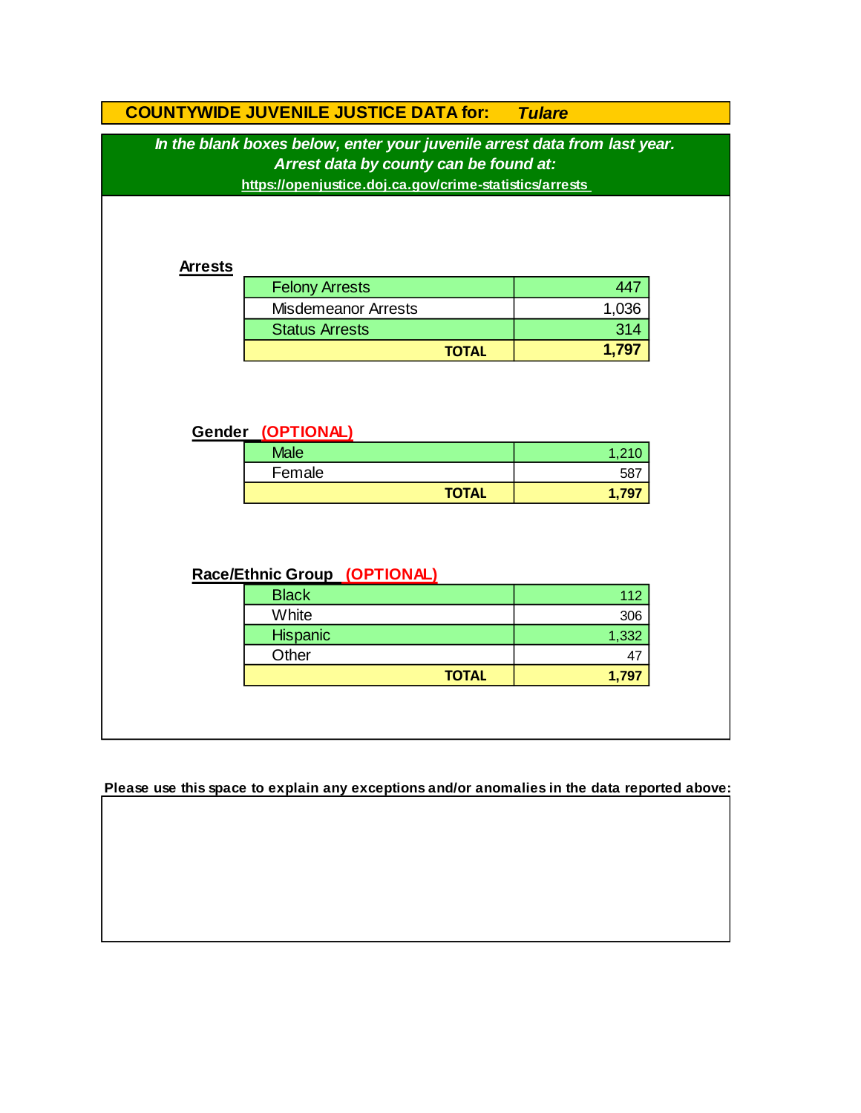|                                                                                                                                                                                | <b>COUNTYWIDE JUVENILE JUSTICE DATA for:</b> | <b>Tulare</b> |  |
|--------------------------------------------------------------------------------------------------------------------------------------------------------------------------------|----------------------------------------------|---------------|--|
| In the blank boxes below, enter your juvenile arrest data from last year.<br>Arrest data by county can be found at:<br>https://openjustice.doj.ca.gov/crime-statistics/arrests |                                              |               |  |
| <b>Arrests</b>                                                                                                                                                                 |                                              |               |  |
|                                                                                                                                                                                | <b>Felony Arrests</b>                        | 447           |  |
|                                                                                                                                                                                | <b>Misdemeanor Arrests</b>                   | 1,036         |  |
|                                                                                                                                                                                | <b>Status Arrests</b>                        | 314           |  |
|                                                                                                                                                                                |                                              | 1,797         |  |
|                                                                                                                                                                                | <b>TOTAL</b>                                 |               |  |
|                                                                                                                                                                                |                                              |               |  |
|                                                                                                                                                                                | Gender (OPTIONAL)<br><b>Male</b>             | 1,210         |  |
|                                                                                                                                                                                | Female                                       | 587           |  |
|                                                                                                                                                                                | <b>TOTAL</b>                                 | 1,797         |  |
|                                                                                                                                                                                | Race/Ethnic Group (OPTIONAL)                 |               |  |
|                                                                                                                                                                                | <b>Black</b>                                 | 112           |  |
|                                                                                                                                                                                | White                                        | 306           |  |
|                                                                                                                                                                                | Hispanic                                     | 1,332         |  |
|                                                                                                                                                                                | Other                                        | 47            |  |

**Please use this space to explain any exceptions and/or anomalies in the data reported above:**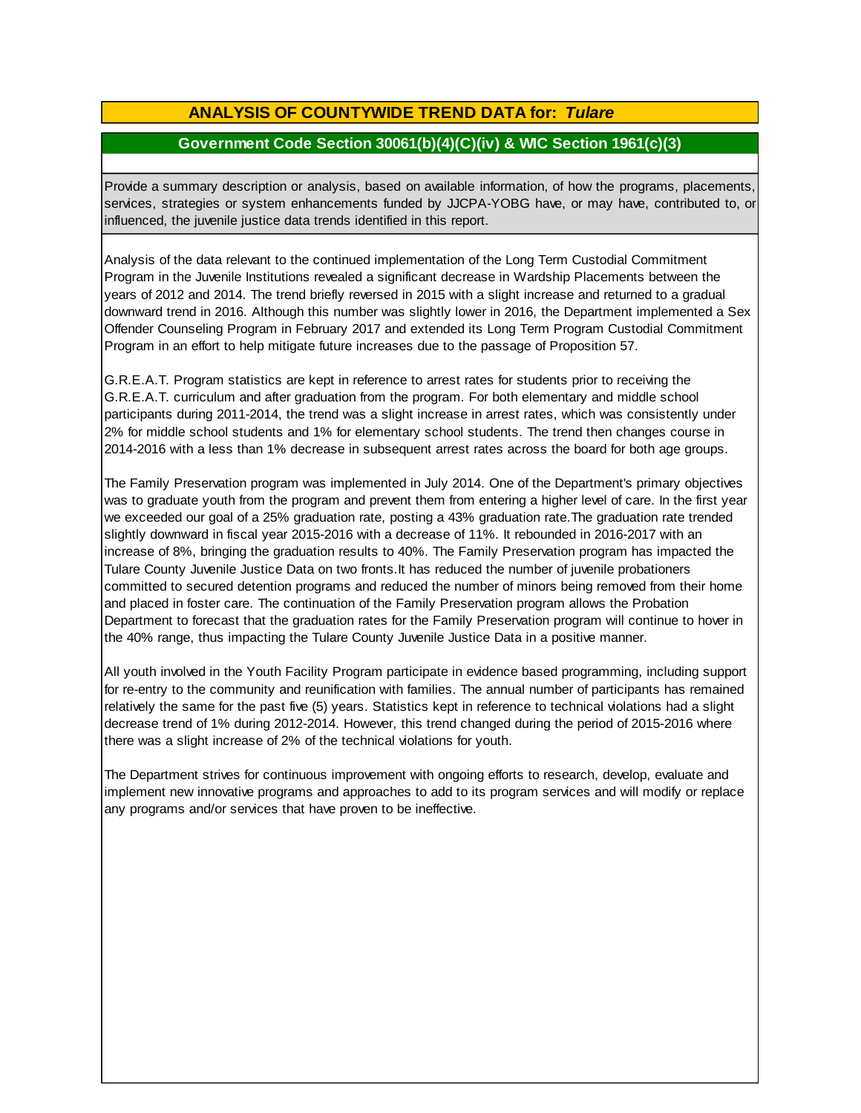# **ANALYSIS OF COUNTYWIDE TREND DATA for:** *Tulare*

# **Government Code Section 30061(b)(4)(C)(iv) & WIC Section 1961(c)(3)**

Provide <sup>a</sup> summary description or analysis, based on available information, of how the programs, placements, services, strategies or system enhancements funded by JJCPA-YOBG have, or may have, contributed to, or influenced, the juvenile justice data trends identified in this report.

Analysis of the data relevant to the continued implementation of the Long Term Custodial Commitment Program in the Juvenile Institutions revealed a significant decrease in Wardship Placements between the years of 2012 and 2014. The trend briefly reversed in 2015 with a slight increase and returned to a gradual downward trend in 2016. Although this number was slightly lower in 2016, the Department implemented a Sex Offender Counseling Program in February 2017 and extended its Long Term Program Custodial Commitment Program in an effort to help mitigate future increases due to the passage of Proposition 57.

G.R.E.A.T. Program statistics are kept in reference to arrest rates for students prior to receiving the G.R.E.A.T. curriculum and after graduation from the program. For both elementary and middle school participants during 2011-2014, the trend was a slight increase in arrest rates, which was consistently under 2% for middle school students and 1% for elementary school students. The trend then changes course in 2014-2016 with a less than 1% decrease in subsequent arrest rates across the board for both age groups.

The Family Preservation program was implemented in July 2014. One of the Department's primary objectives was to graduate youth from the program and prevent them from entering a higher level of care. In the first year we exceeded our goal of a 25% graduation rate, posting a 43% graduation rate.The graduation rate trended slightly downward in fiscal year 2015-2016 with a decrease of 11%. It rebounded in 2016-2017 with an increase of 8%, bringing the graduation results to 40%. The Family Preservation program has impacted the Tulare County Juvenile Justice Data on two fronts.It has reduced the number of juvenile probationers committed to secured detention programs and reduced the number of minors being removed from their home and placed in foster care. The continuation of the Family Preservation program allows the Probation Department to forecast that the graduation rates for the Family Preservation program will continue to hover in the 40% range, thus impacting the Tulare County Juvenile Justice Data in a positive manner.

All youth involved in the Youth Facility Program participate in evidence based programming, including support for re-entry to the community and reunification with families. The annual number of participants has remained relatively the same for the past five (5) years. Statistics kept in reference to technical violations had a slight decrease trend of 1% during 2012-2014. However, this trend changed during the period of 2015-2016 where there was a slight increase of 2% of the technical violations for youth.

The Department strives for continuous improvement with ongoing efforts to research, develop, evaluate and implement new innovative programs and approaches to add to its program services and will modify or replace any programs and/or services that have proven to be ineffective.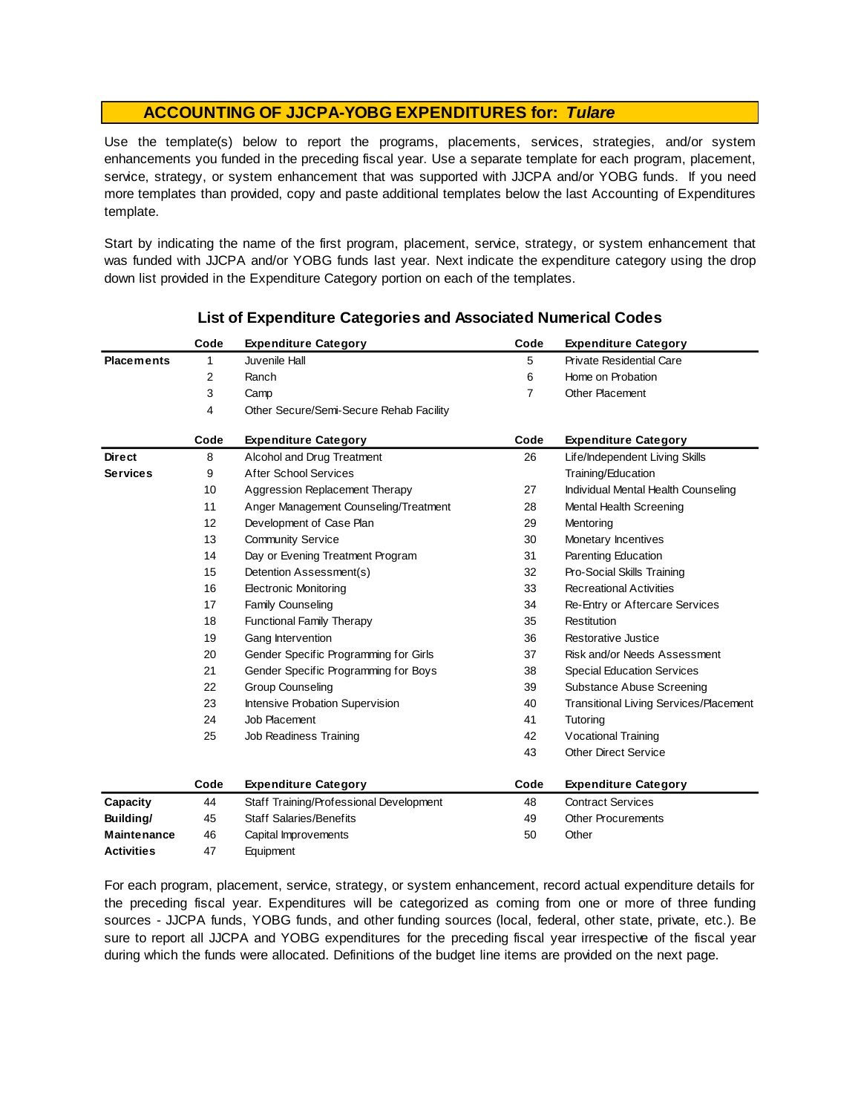Use the template(s) below to report the programs, placements, services, strategies, and/or system enhancements you funded in the preceding fiscal year. Use <sup>a</sup> separate template for each program, placement, service, strategy, or system enhancement that was supported with JJCPA and/or YOBG funds. If you need more templates than provided, copy and paste additional templates below the last Accounting of Expenditures template.

Start by indicating the name of the first program, placement, service, strategy, or system enhancement that was funded with JJCPA and/or YOBG funds last year. Next indicate the expenditure category using the drop down list provided in the Expenditure Category portion on each of the templates.

|                    | Code | <b>Expenditure Category</b>             | Code           | <b>Expenditure Category</b>                   |
|--------------------|------|-----------------------------------------|----------------|-----------------------------------------------|
| <b>Placements</b>  | 1    | Juvenile Hall                           | 5              | <b>Private Residential Care</b>               |
|                    | 2    | Ranch                                   | 6              | Home on Probation                             |
|                    | 3    | Camp                                    | $\overline{7}$ | Other Placement                               |
|                    | 4    | Other Secure/Semi-Secure Rehab Facility |                |                                               |
|                    | Code | <b>Expenditure Category</b>             | Code           | <b>Expenditure Category</b>                   |
| <b>Direct</b>      | 8    | Alcohol and Drug Treatment              | 26             | Life/Independent Living Skills                |
| <b>Services</b>    | 9    | <b>After School Services</b>            |                | Training/Education                            |
|                    | 10   | Aggression Replacement Therapy          | 27             | Individual Mental Health Counseling           |
|                    | 11   | Anger Management Counseling/Treatment   | 28             | Mental Health Screening                       |
|                    | 12   | Development of Case Plan                | 29             | Mentoring                                     |
|                    | 13   | <b>Community Service</b>                | 30             | Monetary Incentives                           |
|                    | 14   | Day or Evening Treatment Program        | 31             | Parenting Education                           |
|                    | 15   | Detention Assessment(s)                 | 32             | Pro-Social Skills Training                    |
|                    | 16   | <b>Electronic Monitoring</b>            | 33             | <b>Recreational Activities</b>                |
|                    | 17   | <b>Family Counseling</b>                | 34             | Re-Entry or Aftercare Services                |
|                    | 18   | <b>Functional Family Therapy</b>        | 35             | Restitution                                   |
|                    | 19   | Gang Intervention                       | 36             | Restorative Justice                           |
|                    | 20   | Gender Specific Programming for Girls   | 37             | Risk and/or Needs Assessment                  |
|                    | 21   | Gender Specific Programming for Boys    | 38             | <b>Special Education Services</b>             |
|                    | 22   | <b>Group Counseling</b>                 | 39             | Substance Abuse Screening                     |
|                    | 23   | Intensive Probation Supervision         | 40             | <b>Transitional Living Services/Placement</b> |
|                    | 24   | Job Placement                           | 41             | Tutoring                                      |
|                    | 25   | Job Readiness Training                  | 42             | Vocational Training                           |
|                    |      |                                         | 43             | <b>Other Direct Service</b>                   |
|                    | Code | <b>Expenditure Category</b>             | Code           | <b>Expenditure Category</b>                   |
| Capacity           | 44   | Staff Training/Professional Development | 48             | <b>Contract Services</b>                      |
| Building/          | 45   | <b>Staff Salaries/Benefits</b>          | 49             | <b>Other Procurements</b>                     |
| <b>Maintenance</b> | 46   | Capital Improvements                    | 50             | Other                                         |
| <b>Activities</b>  | 47   | Equipment                               |                |                                               |

## **List of Expenditure Categories and Associated Numerical Codes**

For each program, placement, service, strategy, or system enhancement, record actual expenditure details for the preceding fiscal year. Expenditures will be categorized as coming from one or more of three funding sources - JJCPA funds, YOBG funds, and other funding sources (local, federal, other state, private, etc.). Be sure to report all JJCPA and YOBG expenditures for the preceding fiscal year irrespective of the fiscal year during which the funds were allocated. Definitions of the budget line items are provided on the next page.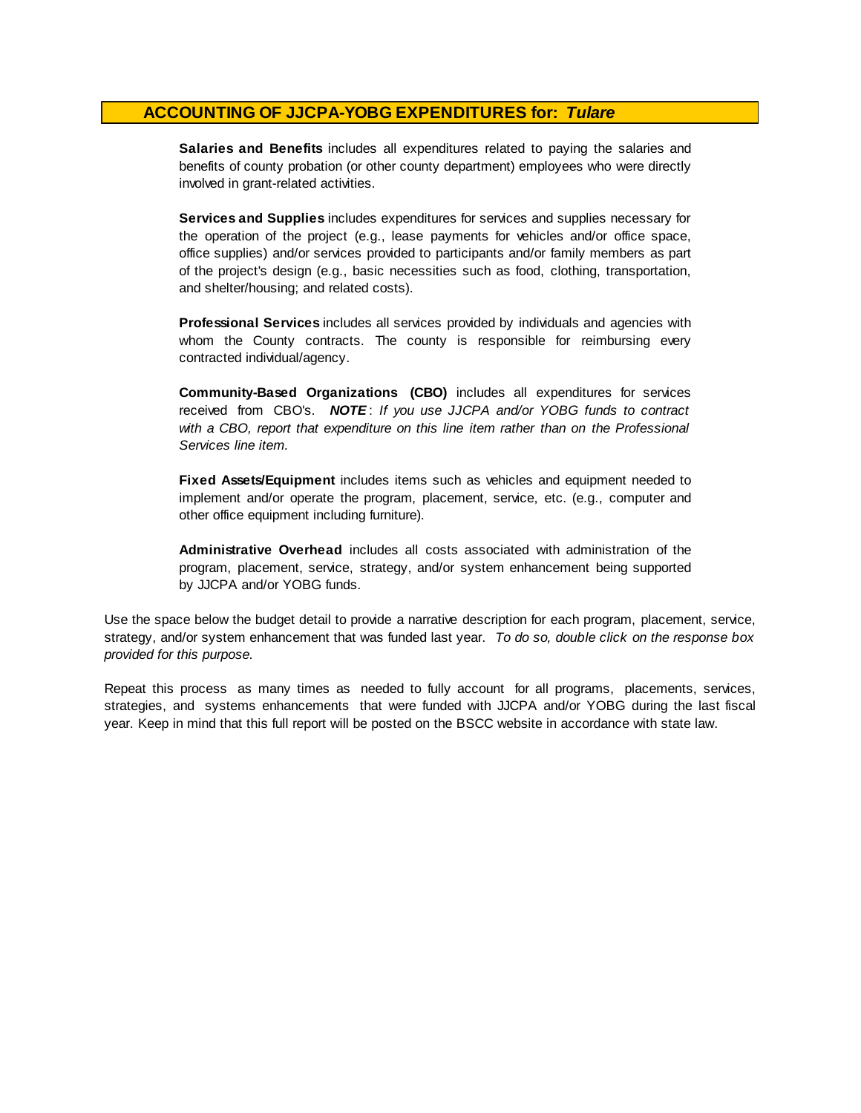**Salaries and Benefits** includes all expenditures related to paying the salaries and benefits of county probation (or other county department) employees who were directly involved in grant-related activities.

**Services and Supplies** includes expenditures for services and supplies necessary for the operation of the project (e.g., lease payments for vehicles and/or office space, office supplies) and/or services provided to participants and/or family members as part of the project's design (e.g., basic necessities such as food, clothing, transportation, and shelter/housing; and related costs).

**Professional Services** includes all services provided by individuals and agencies with whom the County contracts. The county is responsible for reimbursing every contracted individual/agency.

**Community-Based Organizations (CBO)** includes all expenditures for services received from CBO's. *NOTE* : *I f you use JJCPA and/or YOBG funds t o contract with <sup>a</sup> CBO, report that expenditure on this line item rather than on the Professional Services line item.*

**Fixed Assets/Equipment** includes items such as vehicles and equipment needed to implement and/or operate the program, placement, service, etc. (e.g., computer and other office equipment including furniture).

**Administrative Overhead** includes all costs associated with administration of the program, placement, service, strategy, and/or system enhancement being supported by JJCPA and/or YOBG funds.

Use the space below the budget detail to provide a narrative description for each program, placement, service, strategy, and/or system enhancement that was funded last year. *To do so, double click on the response box provided for this purpose.* 

Repeat this process as many times as needed to fully account for all programs, placements, services, strategies, and systems enhancements that were funded with JJCPA and/or YOBG during the last fiscal year. Keep in mind that this full report will be posted on the BSCC website in accordance with state law.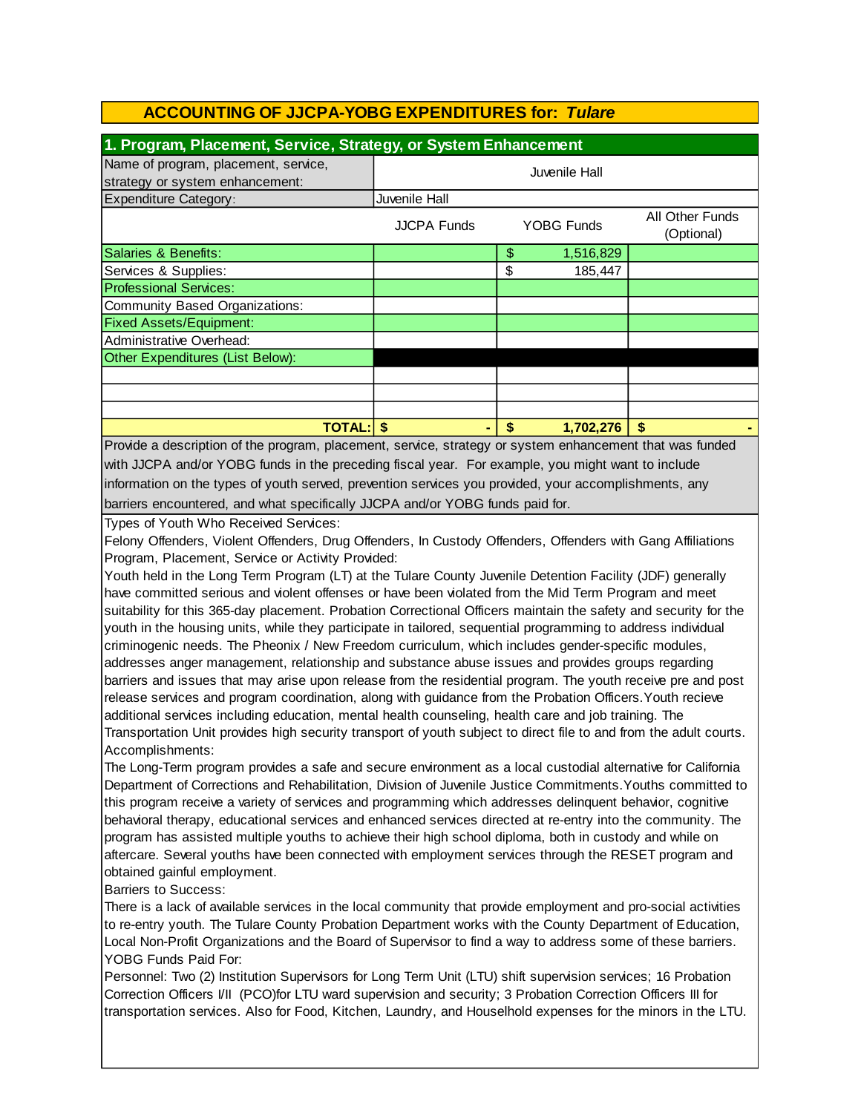| 1. Program, Placement, Service, Strategy, or System Enhancement         |                    |    |                   |                               |  |
|-------------------------------------------------------------------------|--------------------|----|-------------------|-------------------------------|--|
| Name of program, placement, service,<br>strategy or system enhancement: | Juvenile Hall      |    |                   |                               |  |
| <b>Expenditure Category:</b>                                            | Juvenile Hall      |    |                   |                               |  |
|                                                                         | <b>JJCPA Funds</b> |    | <b>YOBG Funds</b> | All Other Funds<br>(Optional) |  |
| Salaries & Benefits:                                                    |                    | \$ | 1,516,829         |                               |  |
| Services & Supplies:                                                    |                    | \$ | 185,447           |                               |  |
| <b>Professional Services:</b>                                           |                    |    |                   |                               |  |
| Community Based Organizations:                                          |                    |    |                   |                               |  |
| <b>Fixed Assets/Equipment:</b>                                          |                    |    |                   |                               |  |
| Administrative Overhead:                                                |                    |    |                   |                               |  |
| Other Expenditures (List Below):                                        |                    |    |                   |                               |  |
|                                                                         |                    |    |                   |                               |  |
|                                                                         |                    |    |                   |                               |  |
|                                                                         |                    |    |                   |                               |  |
| <b>TOTAL: \$</b>                                                        |                    | \$ | 1,702,276         | \$                            |  |

Provide a description of the program, placement, service, strategy or system enhancement that was funded with JJCPA and/or YOBG funds in the preceding fiscal year. For example, you might want to include information on the types of youth served, prevention services you provided, your accomplishments, any barriers encountered, and what specifically JJCPA and/or YOBG funds paid for.

Types of Youth Who Received Services:

Felony Offenders, Violent Offenders, Drug Offenders, In Custody Offenders, Offenders with Gang Affiliations Program, Placement, Service or Activity Provided:

Youth held in the Long Term Program (LT) at the Tulare County Juvenile Detention Facility (JDF) generally have committed serious and violent offenses or have been violated from the Mid Term Program and meet suitability for this 365-day placement. Probation Correctional Officers maintain the safety and security for the youth in the housing units, while they participate in tailored, sequential programming to address individual criminogenic needs. The Pheonix / New Freedom curriculum, which includes gender-specific modules, addresses anger management, relationship and substance abuse issues and provides groups regarding barriers and issues that may arise upon release from the residential program. The youth receive pre and post release services and program coordination, along with guidance from the Probation Officers.Youth recieve additional services including education, mental health counseling, health care and job training. The Transportation Unit provides high security transport of youth subject to direct file to and from the adult courts. Accomplishments:

The Long-Term program provides a safe and secure environment as a local custodial alternative for California Department of Corrections and Rehabilitation, Division of Juvenile Justice Commitments.Youths committed to this program receive a variety of services and programming which addresses delinquent behavior, cognitive behavioral therapy, educational services and enhanced services directed at re-entry into the community. The program has assisted multiple youths to achieve their high school diploma, both in custody and while on aftercare. Several youths have been connected with employment services through the RESET program and obtained gainful employment.

Barriers to Success:

There is a lack of available services in the local community that provide employment and pro-social activities to re-entry youth. The Tulare County Probation Department works with the County Department of Education, Local Non-Profit Organizations and the Board of Supervisor to find a way to address some of these barriers. YOBG Funds Paid For:

Personnel: Two (2) Institution Supervisors for Long Term Unit (LTU) shift supervision services; 16 Probation Correction Officers I/II (PCO)for LTU ward supervision and security; 3 Probation Correction Officers III for transportation services. Also for Food, Kitchen, Laundry, and Houselhold expenses for the minors in the LTU.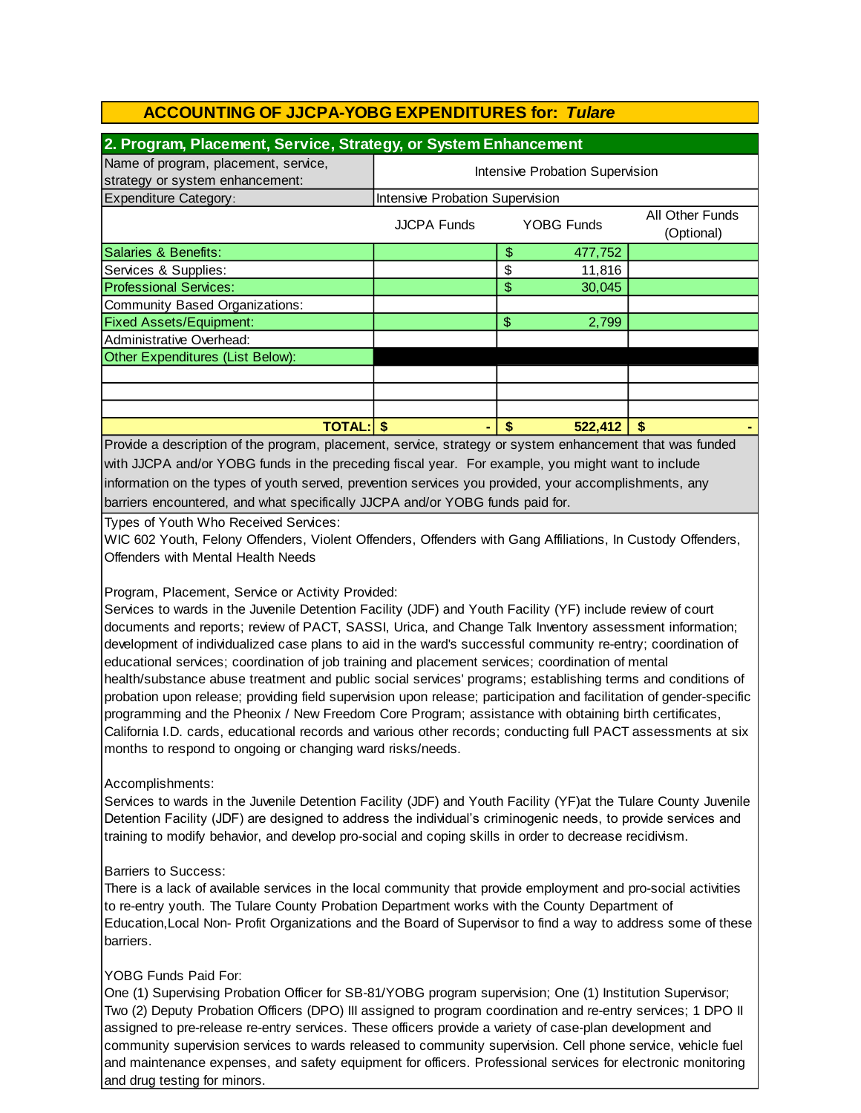| 2. Program, Placement, Service, Strategy, or System Enhancement         |                                                                          |               |         |  |  |  |
|-------------------------------------------------------------------------|--------------------------------------------------------------------------|---------------|---------|--|--|--|
| Name of program, placement, service,<br>strategy or system enhancement: | Intensive Probation Supervision                                          |               |         |  |  |  |
| Expenditure Category:                                                   | Intensive Probation Supervision                                          |               |         |  |  |  |
|                                                                         | All Other Funds<br><b>YOBG Funds</b><br><b>JJCPA Funds</b><br>(Optional) |               |         |  |  |  |
| Salaries & Benefits:                                                    |                                                                          | \$            | 477,752 |  |  |  |
| Services & Supplies:                                                    |                                                                          | \$            | 11,816  |  |  |  |
| <b>Professional Services:</b>                                           |                                                                          | \$            | 30,045  |  |  |  |
| Community Based Organizations:                                          |                                                                          |               |         |  |  |  |
| <b>Fixed Assets/Equipment:</b>                                          |                                                                          | $\frac{1}{2}$ | 2,799   |  |  |  |
| Administrative Overhead:                                                |                                                                          |               |         |  |  |  |
| Other Expenditures (List Below):                                        |                                                                          |               |         |  |  |  |
|                                                                         |                                                                          |               |         |  |  |  |
|                                                                         |                                                                          |               |         |  |  |  |
|                                                                         |                                                                          |               |         |  |  |  |
| <b>TOTAL:</b>                                                           |                                                                          | S             | 522,412 |  |  |  |

information on the types of youth served, prevention services you provided, your accomplishments, any barriers encountered, and what specifically JJCPA and/or YOBG funds paid for. Provide a description of the program, placement, service, strategy or system enhancement that was funded with JJCPA and/or YOBG funds in the preceding fiscal year. For example, you might want to include

Types of Youth Who Received Services:

WIC 602 Youth, Felony Offenders, Violent Offenders, Offenders with Gang Affiliations, In Custody Offenders, Offenders with Mental Health Needs

#### Program, Placement, Service or Activity Provided:

Services to wards in the Juvenile Detention Facility (JDF) and Youth Facility (YF) include review of court documents and reports; review of PACT, SASSI, Urica, and Change Talk Inventory assessment information; development of individualized case plans to aid in the ward's successful community re-entry; coordination of educational services; coordination of job training and placement services; coordination of mental health/substance abuse treatment and public social services' programs; establishing terms and conditions of probation upon release; providing field supervision upon release; participation and facilitation of gender-specific programming and the Pheonix / New Freedom Core Program; assistance with obtaining birth certificates, California I.D. cards, educational records and various other records; conducting full PACT assessments at six months to respond to ongoing or changing ward risks/needs.

Accomplishments:

Services to wards in the Juvenile Detention Facility (JDF) and Youth Facility (YF)at the Tulare County Juvenile Detention Facility (JDF) are designed to address the individual's criminogenic needs, to provide services and training to modify behavior, and develop pro-social and coping skills in order to decrease recidivism.

#### Barriers to Success:

There is a lack of available services in the local community that provide employment and pro-social activities to re-entry youth. The Tulare County Probation Department works with the County Department of Education,Local Non- Profit Organizations and the Board of Supervisor to find a way to address some of these barriers.

#### YOBG Funds Paid For:

One (1) Supervising Probation Officer for SB-81/YOBG program supervision; One (1) Institution Supervisor; Two (2) Deputy Probation Officers (DPO) III assigned to program coordination and re-entry services; 1 DPO II assigned to pre-release re-entry services. These officers provide a variety of case-plan development and community supervision services to wards released to community supervision. Cell phone service, vehicle fuel and maintenance expenses, and safety equipment for officers. Professional services for electronic monitoring and drug testing for minors.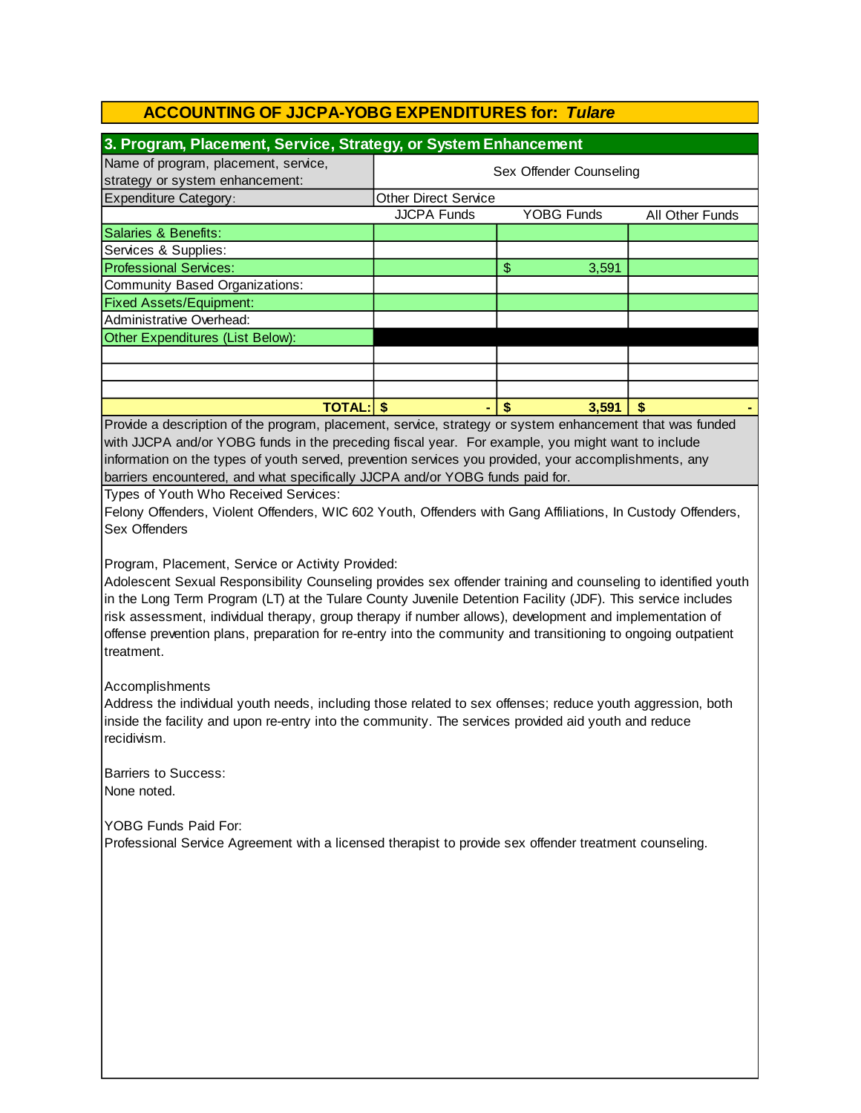| 3. Program, Placement, Service, Strategy, or System Enhancement                                       |                             |                   |                 |  |  |
|-------------------------------------------------------------------------------------------------------|-----------------------------|-------------------|-----------------|--|--|
| Name of program, placement, service,<br>strategy or system enhancement:                               | Sex Offender Counseling     |                   |                 |  |  |
| <b>Expenditure Category:</b>                                                                          | <b>Other Direct Service</b> |                   |                 |  |  |
|                                                                                                       | <b>JJCPA Funds</b>          | <b>YOBG Funds</b> | All Other Funds |  |  |
| <b>Salaries &amp; Benefits:</b>                                                                       |                             |                   |                 |  |  |
| Services & Supplies:                                                                                  |                             |                   |                 |  |  |
| <b>Professional Services:</b>                                                                         |                             | \$<br>3,591       |                 |  |  |
| Community Based Organizations:                                                                        |                             |                   |                 |  |  |
| <b>Fixed Assets/Equipment:</b>                                                                        |                             |                   |                 |  |  |
| Administrative Overhead:                                                                              |                             |                   |                 |  |  |
| Other Expenditures (List Below):                                                                      |                             |                   |                 |  |  |
|                                                                                                       |                             |                   |                 |  |  |
|                                                                                                       |                             |                   |                 |  |  |
|                                                                                                       |                             |                   |                 |  |  |
| <b>TOTAL: \$</b><br>S<br>\$<br>3.591<br>۰.                                                            |                             |                   |                 |  |  |
| Provide a description of the program, placement, senice strategy or system ephanoment that wes funded |                             |                   |                 |  |  |

Provide a description of the program, placement, service, strategy or system enhancement that was funded with JJCPA and/or YOBG funds in the preceding fiscal year. For example, you might want to include barriers encountered, and what specifically JJCPA and/or YOBG funds paid for. information on the types of youth served, prevention services you provided, your accomplishments, any

Types of Youth Who Received Services:

Felony Offenders, Violent Offenders, WIC 602 Youth, Offenders with Gang Affiliations, In Custody Offenders, Sex Offenders

Program, Placement, Service or Activity Provided:

Adolescent Sexual Responsibility Counseling provides sex offender training and counseling to identified youth in the Long Term Program (LT) at the Tulare County Juvenile Detention Facility (JDF). This service includes risk assessment, individual therapy, group therapy if number allows), development and implementation of offense prevention plans, preparation for re-entry into the community and transitioning to ongoing outpatient treatment.

Accomplishments

Address the individual youth needs, including those related to sex offenses; reduce youth aggression, both inside the facility and upon re-entry into the community. The services provided aid youth and reduce recidivism.

Barriers to Success: None noted.

YOBG Funds Paid For:

Professional Service Agreement with a licensed therapist to provide sex offender treatment counseling.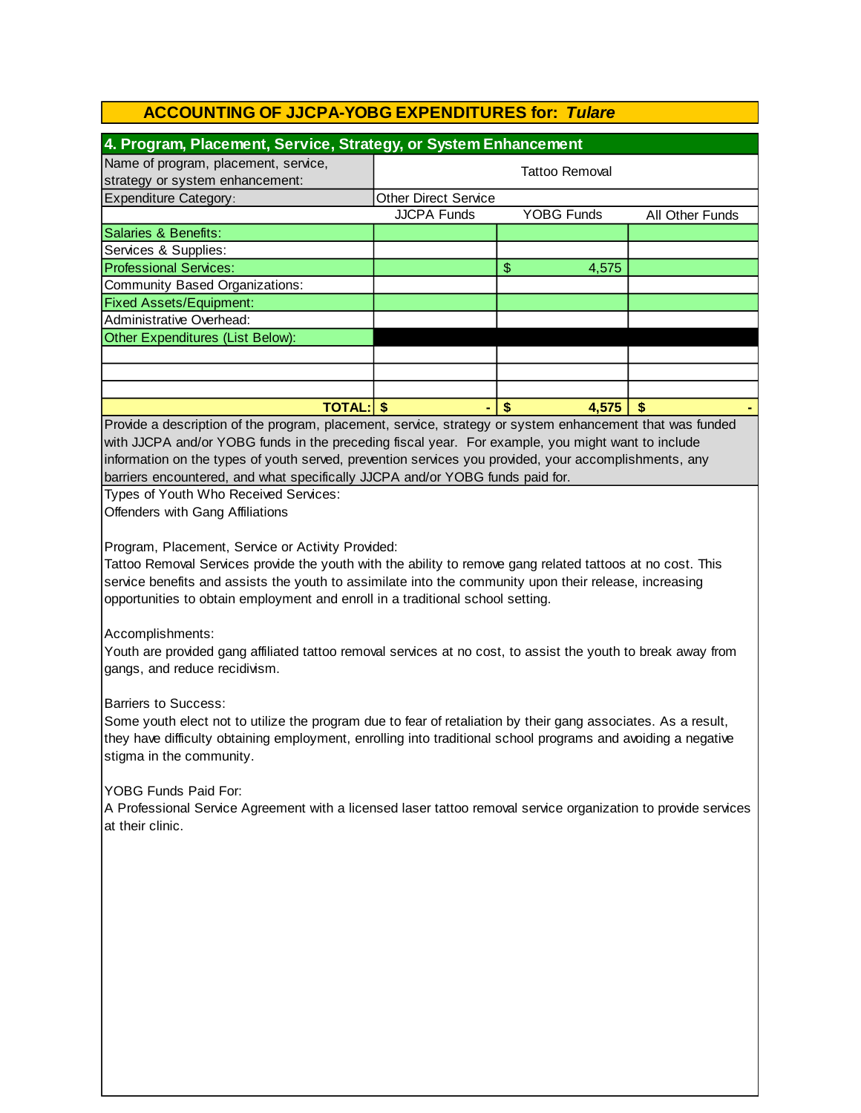| 4. Program, Placement, Service, Strategy, or System Enhancement                                                                                                                                                                                                                                                                                                                                                                                                                                                                                                                                                                                                                                                                                                                                                                                                                                                                                                                                                                                                                                                                                                                                                                                                                                                                                                                                                                                                                                                                                   |                             |                        |                 |  |  |
|---------------------------------------------------------------------------------------------------------------------------------------------------------------------------------------------------------------------------------------------------------------------------------------------------------------------------------------------------------------------------------------------------------------------------------------------------------------------------------------------------------------------------------------------------------------------------------------------------------------------------------------------------------------------------------------------------------------------------------------------------------------------------------------------------------------------------------------------------------------------------------------------------------------------------------------------------------------------------------------------------------------------------------------------------------------------------------------------------------------------------------------------------------------------------------------------------------------------------------------------------------------------------------------------------------------------------------------------------------------------------------------------------------------------------------------------------------------------------------------------------------------------------------------------------|-----------------------------|------------------------|-----------------|--|--|
| Name of program, placement, service,                                                                                                                                                                                                                                                                                                                                                                                                                                                                                                                                                                                                                                                                                                                                                                                                                                                                                                                                                                                                                                                                                                                                                                                                                                                                                                                                                                                                                                                                                                              | <b>Tattoo Removal</b>       |                        |                 |  |  |
| strategy or system enhancement:                                                                                                                                                                                                                                                                                                                                                                                                                                                                                                                                                                                                                                                                                                                                                                                                                                                                                                                                                                                                                                                                                                                                                                                                                                                                                                                                                                                                                                                                                                                   |                             |                        |                 |  |  |
| <b>Expenditure Category:</b>                                                                                                                                                                                                                                                                                                                                                                                                                                                                                                                                                                                                                                                                                                                                                                                                                                                                                                                                                                                                                                                                                                                                                                                                                                                                                                                                                                                                                                                                                                                      | <b>Other Direct Service</b> |                        |                 |  |  |
|                                                                                                                                                                                                                                                                                                                                                                                                                                                                                                                                                                                                                                                                                                                                                                                                                                                                                                                                                                                                                                                                                                                                                                                                                                                                                                                                                                                                                                                                                                                                                   | <b>JJCPA Funds</b>          | <b>YOBG Funds</b>      | All Other Funds |  |  |
| <b>Salaries &amp; Benefits:</b>                                                                                                                                                                                                                                                                                                                                                                                                                                                                                                                                                                                                                                                                                                                                                                                                                                                                                                                                                                                                                                                                                                                                                                                                                                                                                                                                                                                                                                                                                                                   |                             |                        |                 |  |  |
| Services & Supplies:                                                                                                                                                                                                                                                                                                                                                                                                                                                                                                                                                                                                                                                                                                                                                                                                                                                                                                                                                                                                                                                                                                                                                                                                                                                                                                                                                                                                                                                                                                                              |                             |                        |                 |  |  |
| <b>Professional Services:</b>                                                                                                                                                                                                                                                                                                                                                                                                                                                                                                                                                                                                                                                                                                                                                                                                                                                                                                                                                                                                                                                                                                                                                                                                                                                                                                                                                                                                                                                                                                                     |                             | $\frac{1}{2}$<br>4,575 |                 |  |  |
| <b>Community Based Organizations:</b>                                                                                                                                                                                                                                                                                                                                                                                                                                                                                                                                                                                                                                                                                                                                                                                                                                                                                                                                                                                                                                                                                                                                                                                                                                                                                                                                                                                                                                                                                                             |                             |                        |                 |  |  |
| <b>Fixed Assets/Equipment:</b>                                                                                                                                                                                                                                                                                                                                                                                                                                                                                                                                                                                                                                                                                                                                                                                                                                                                                                                                                                                                                                                                                                                                                                                                                                                                                                                                                                                                                                                                                                                    |                             |                        |                 |  |  |
| <b>Administrative Overhead:</b>                                                                                                                                                                                                                                                                                                                                                                                                                                                                                                                                                                                                                                                                                                                                                                                                                                                                                                                                                                                                                                                                                                                                                                                                                                                                                                                                                                                                                                                                                                                   |                             |                        |                 |  |  |
| Other Expenditures (List Below):                                                                                                                                                                                                                                                                                                                                                                                                                                                                                                                                                                                                                                                                                                                                                                                                                                                                                                                                                                                                                                                                                                                                                                                                                                                                                                                                                                                                                                                                                                                  |                             |                        |                 |  |  |
|                                                                                                                                                                                                                                                                                                                                                                                                                                                                                                                                                                                                                                                                                                                                                                                                                                                                                                                                                                                                                                                                                                                                                                                                                                                                                                                                                                                                                                                                                                                                                   |                             |                        |                 |  |  |
|                                                                                                                                                                                                                                                                                                                                                                                                                                                                                                                                                                                                                                                                                                                                                                                                                                                                                                                                                                                                                                                                                                                                                                                                                                                                                                                                                                                                                                                                                                                                                   |                             |                        |                 |  |  |
|                                                                                                                                                                                                                                                                                                                                                                                                                                                                                                                                                                                                                                                                                                                                                                                                                                                                                                                                                                                                                                                                                                                                                                                                                                                                                                                                                                                                                                                                                                                                                   |                             |                        |                 |  |  |
|                                                                                                                                                                                                                                                                                                                                                                                                                                                                                                                                                                                                                                                                                                                                                                                                                                                                                                                                                                                                                                                                                                                                                                                                                                                                                                                                                                                                                                                                                                                                                   |                             |                        |                 |  |  |
| <b>TOTAL: \$</b><br>$\boldsymbol{\hat{s}}$<br>4,575<br>\$<br>Provide a description of the program, placement, service, strategy or system enhancement that was funded<br>with JJCPA and/or YOBG funds in the preceding fiscal year. For example, you might want to include<br>information on the types of youth served, prevention services you provided, your accomplishments, any<br>barriers encountered, and what specifically JJCPA and/or YOBG funds paid for.<br>Types of Youth Who Received Services:<br>Offenders with Gang Affiliations<br>Program, Placement, Service or Activity Provided:<br>Tattoo Removal Services provide the youth with the ability to remove gang related tattoos at no cost. This<br>service benefits and assists the youth to assimilate into the community upon their release, increasing<br>opportunities to obtain employment and enroll in a traditional school setting.<br>Accomplishments:<br>Youth are provided gang affiliated tattoo removal services at no cost, to assist the youth to break away from<br>gangs, and reduce recidivism.<br><b>Barriers to Success:</b><br>Some youth elect not to utilize the program due to fear of retaliation by their gang associates. As a result,<br>they have difficulty obtaining employment, enrolling into traditional school programs and avoiding a negative<br>stigma in the community.<br>YOBG Funds Paid For:<br>A Professional Service Agreement with a licensed laser tattoo removal service organization to provide services<br>at their clinic. |                             |                        |                 |  |  |
|                                                                                                                                                                                                                                                                                                                                                                                                                                                                                                                                                                                                                                                                                                                                                                                                                                                                                                                                                                                                                                                                                                                                                                                                                                                                                                                                                                                                                                                                                                                                                   |                             |                        |                 |  |  |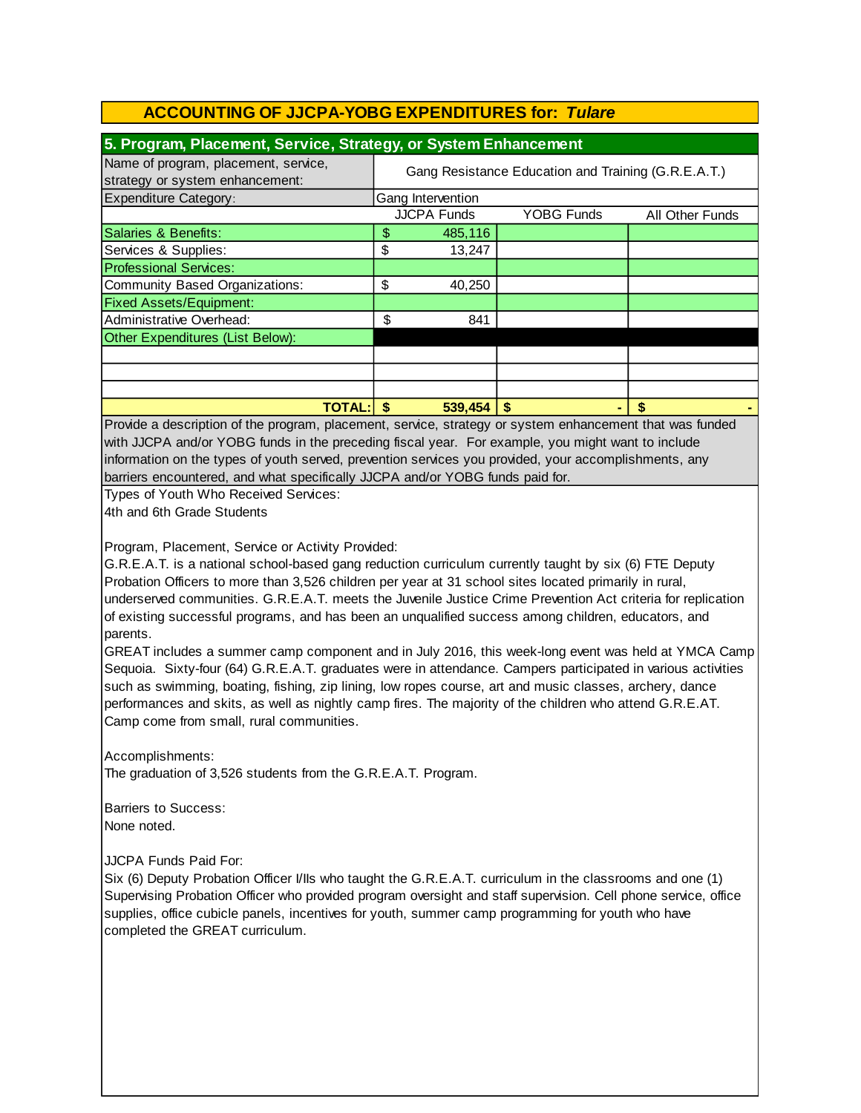| 5. Program, Placement, Service, Strategy, or System Enhancement         |                                                     |                    |                   |                 |  |
|-------------------------------------------------------------------------|-----------------------------------------------------|--------------------|-------------------|-----------------|--|
| Name of program, placement, service,<br>strategy or system enhancement: | Gang Resistance Education and Training (G.R.E.A.T.) |                    |                   |                 |  |
| <b>Expenditure Category:</b>                                            |                                                     | Gang Intervention  |                   |                 |  |
|                                                                         |                                                     | <b>JJCPA Funds</b> | <b>YOBG Funds</b> | All Other Funds |  |
| Salaries & Benefits:                                                    | \$                                                  | 485,116            |                   |                 |  |
| Services & Supplies:                                                    | \$                                                  | 13,247             |                   |                 |  |
| <b>Professional Services:</b>                                           |                                                     |                    |                   |                 |  |
| Community Based Organizations:                                          | \$                                                  | 40,250             |                   |                 |  |
| <b>Fixed Assets/Equipment:</b>                                          |                                                     |                    |                   |                 |  |
| Administrative Overhead:                                                | \$                                                  | 841                |                   |                 |  |
| Other Expenditures (List Below):                                        |                                                     |                    |                   |                 |  |
|                                                                         |                                                     |                    |                   |                 |  |
|                                                                         |                                                     |                    |                   |                 |  |
|                                                                         |                                                     |                    |                   |                 |  |
| <b>TOTAL:</b>                                                           |                                                     | 539.454            | S                 | S               |  |

with JJCPA and/or YOBG funds in the preceding fiscal year. For example, you might want to include information on the types of youth served, prevention services you provided, your accomplishments, any barriers encountered, and what specifically JJCPA and/or YOBG funds paid for. Provide a description of the program, placement, service, strategy or system enhancement that was funded

Types of Youth Who Received Services: 4th and 6th Grade Students

Program, Placement, Service or Activity Provided:

G.R.E.A.T. is a national school-based gang reduction curriculum currently taught by six (6) FTE Deputy Probation Officers to more than 3,526 children per year at 31 school sites located primarily in rural, underserved communities. G.R.E.A.T. meets the Juvenile Justice Crime Prevention Act criteria for replication of existing successful programs, and has been an unqualified success among children, educators, and parents.

GREAT includes a summer camp component and in July 2016, this week-long event was held at YMCA Camp Sequoia. Sixty-four (64) G.R.E.A.T. graduates were in attendance. Campers participated in various activities such as swimming, boating, fishing, zip lining, low ropes course, art and music classes, archery, dance performances and skits, as well as nightly camp fires. The majority of the children who attend G.R.E.AT. Camp come from small, rural communities.

Accomplishments: The graduation of 3,526 students from the G.R.E.A.T. Program.

Barriers to Success: None noted.

JJCPA Funds Paid For:

Six (6) Deputy Probation Officer I/IIs who taught the G.R.E.A.T. curriculum in the classrooms and one (1) Supervising Probation Officer who provided program oversight and staff supervision. Cell phone service, office supplies, office cubicle panels, incentives for youth, summer camp programming for youth who have completed the GREAT curriculum.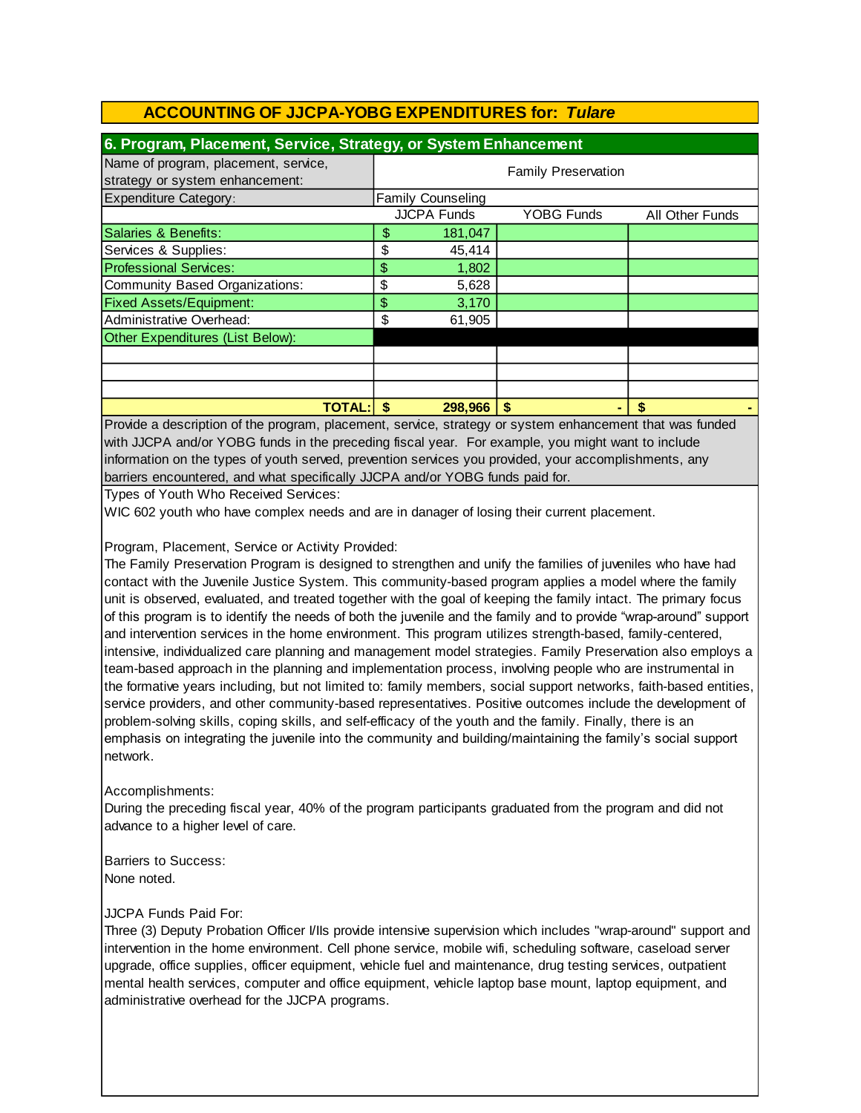| 6. Program, Placement, Service, Strategy, or System Enhancement         |                            |                          |                   |                 |  |  |  |
|-------------------------------------------------------------------------|----------------------------|--------------------------|-------------------|-----------------|--|--|--|
| Name of program, placement, service,<br>strategy or system enhancement: | <b>Family Preservation</b> |                          |                   |                 |  |  |  |
| <b>Expenditure Category:</b>                                            |                            | <b>Family Counseling</b> |                   |                 |  |  |  |
|                                                                         |                            | <b>JJCPA Funds</b>       | <b>YOBG Funds</b> | All Other Funds |  |  |  |
| Salaries & Benefits:                                                    | \$                         | 181,047                  |                   |                 |  |  |  |
| Services & Supplies:                                                    | \$                         | 45,414                   |                   |                 |  |  |  |
| <b>Professional Services:</b>                                           | \$                         | 1,802                    |                   |                 |  |  |  |
| Community Based Organizations:                                          | \$                         | 5,628                    |                   |                 |  |  |  |
| <b>Fixed Assets/Equipment:</b>                                          | \$                         | 3,170                    |                   |                 |  |  |  |
| Administrative Overhead:                                                | \$                         | 61,905                   |                   |                 |  |  |  |
| Other Expenditures (List Below):                                        |                            |                          |                   |                 |  |  |  |
|                                                                         |                            |                          |                   |                 |  |  |  |
|                                                                         |                            |                          |                   |                 |  |  |  |
|                                                                         |                            |                          |                   |                 |  |  |  |
| <b>TOTAL:</b>                                                           | S                          | 298,966                  | S                 | \$              |  |  |  |

Provide a description of the program, placement, service, strategy or system enhancement that was funded with JJCPA and/or YOBG funds in the preceding fiscal year. For example, you might want to include information on the types of youth served, prevention services you provided, your accomplishments, any barriers encountered, and what specifically JJCPA and/or YOBG funds paid for.

Types of Youth Who Received Services:

WIC 602 youth who have complex needs and are in danager of losing their current placement.

Program, Placement, Service or Activity Provided:

The Family Preservation Program is designed to strengthen and unify the families of juveniles who have had contact with the Juvenile Justice System. This community-based program applies a model where the family unit is observed, evaluated, and treated together with the goal of keeping the family intact. The primary focus of this program is to identify the needs of both the juvenile and the family and to provide "wrap-around" support and intervention services in the home environment. This program utilizes strength-based, family-centered, intensive, individualized care planning and management model strategies. Family Preservation also employs a team-based approach in the planning and implementation process, involving people who are instrumental in the formative years including, but not limited to: family members, social support networks, faith-based entities, service providers, and other community-based representatives. Positive outcomes include the development of problem-solving skills, coping skills, and self-efficacy of the youth and the family. Finally, there is an emphasis on integrating the juvenile into the community and building/maintaining the family's social support network.

#### Accomplishments:

During the preceding fiscal year, 40% of the program participants graduated from the program and did not advance to a higher level of care.

Barriers to Success: None noted.

#### JJCPA Funds Paid For:

Three (3) Deputy Probation Officer I/IIs provide intensive supervision which includes "wrap-around" support and intervention in the home environment. Cell phone service, mobile wifi, scheduling software, caseload server upgrade, office supplies, officer equipment, vehicle fuel and maintenance, drug testing services, outpatient mental health services, computer and office equipment, vehicle laptop base mount, laptop equipment, and administrative overhead for the JJCPA programs.